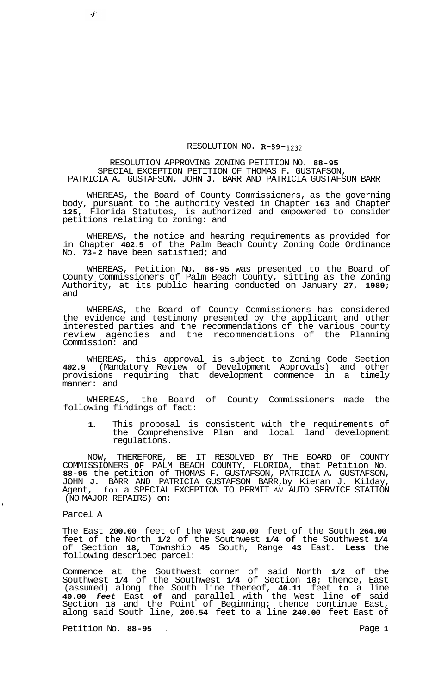## RESOLUTION NO. **R-89-1232**

## RESOLUTION APPROVING ZONING PETITION NO. **88-95**  PATRICIA A. GUSTAFSON, JOHN **J.** BARR AND PATRICIA GUSTAFSON BARR SPECIAL EXCEPTION PETITION OF THOMAS F. GUSTAFSON,

WHEREAS, the Board of County Commissioners, as the governing body, pursuant to the authority vested in Chapter **163** and Chapter **125,** Florida Statutes, is authorized and empowered to consider petitions relating to zoning: and

WHEREAS, the notice and hearing requirements as provided for in Chapter **402.5** of the Palm Beach County Zoning Code Ordinance No. **73-2** have been satisfied; and

WHEREAS, Petition No. **88-95** was presented to the Board of County Commissioners of Palm Beach County, sitting as the Zoning Authority, at its public hearing conducted on January **27, 1989;**  and

WHEREAS, the Board of County Commissioners has considered the evidence and testimony presented by the applicant and other interested parties and the recommendations of the various county review agencies and the recommendations of the Planning Commission: and

WHEREAS, this approval is subject to Zoning Code Section **402.9** (Mandatory Review of Development Approvals) and other provisions requiring that development commence in a timely manner: and

WHEREAS, the Board of County Commissioners made the following findings of fact:

**1.** This proposal is consistent with the requirements of the Comprehensive Plan and local land development regulations.

NOW, THEREFORE, BE IT RESOLVED BY THE BOARD OF COUNTY COMMISSIONERS **OF** PALM BEACH COUNTY, FLORIDA, that Petition No. **88-95** the petition of THOMAS F. GUSTAFSON, PATRICIA A. GUSTAFSON, JOHN **J.** BARR AND PATRICIA GUSTAFSON BARR, by Kieran J. Kilday, Agent, for a SPECIAL EXCEPTION TO PERMIT *AN* AUTO SERVICE STATION (NO MAJOR REPAIRS) on:

## Parcel A

 $\mathcal{X}_\perp$ 

The East **200.00** feet of the West **240.00** feet of the South **264.00**  feet **of** the North **1/2** of the Southwest **1/4 of** the Southwest **1/4**  of Section **18,** Township **45** South, Range **43** East. **Less** the following described parcel:

Commence at the Southwest corner of said North **1/2** of the Southwest **1/4** of the Southwest **1/4** of Section **18;** thence, East (assumed) along the South line thereof, **40.11** feet **to** a line **40.00** *feet* East **of** and parallel with the West line **of** said Section **18** and the Point of Beginning; thence continue East, along said South line, **200.54** feet to a line **240.00** feet East **of** 

Petition No. **88-95** . Page **1**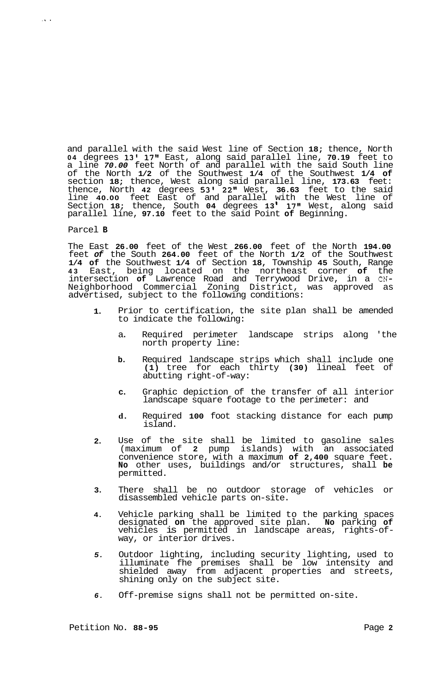and parallel with the said West line of Section **18;** thence, North **04** degrees **13' 17"** East, along said parallel line, **70.19** feet to a line *70.00* feet North of and parallel with the said South line of the North **1/2** of the Southwest **1/4** of the Southwest **1/4 of**  section **18;** thence, West along said parallel line, **173.63** feet: thence, North **42** degrees **53' 22"** West, **36.63** feet to the said line **40.00** feet East of and parallel with the West line of Section **18;** thence, South **04** degrees **13 17"** West, along said parallel line, **97.10** feet to the said Point **of** Beginning.

## Parcel **B**

.. .

The East **26.00** feet of the West **266.00** feet of the North **194.00**  feet *of* the South **264.00** feet of the North **1/2** of the Southwest **1/4 of** the Southwest **1/4** of Section **18,** Township **45** South, Range **43** East, being located on the northeast corner **of** the intersection **of** Lawrence Road and Terrywood Drive, in a **CN-**Neighborhood Commercial Zoning District, was approved as advertised, subject to the following conditions:

- **1.**  Prior to certification, the site plan shall be amended to indicate the following:
	- a. Required perimeter landscape strips along 'the north property line:
	- **b.** Required landscape strips which shall include one **(1)** tree for each thirty **(30)** lineal feet of abutting right-of-way:
	- **c.** Graphic depiction of the transfer of all interior landscape square footage to the perimeter: and
	- **d.** Required **100** foot stacking distance for each pump island.
- **2.**  Use of the site shall be limited to gasoline sales (maximum of **2** pump islands) with an associated convenience store, with a maximum **of 2,400** square feet. **No** other uses, buildings and/or structures, shall **be**  permitted.
- **3.**  There shall be no outdoor storage of vehicles or disassembled vehicle parts on-site.
- **4.**  Vehicle parking shall be limited to the parking spaces designated **on** the approved site plan. **No** parking **of**  vehicles is permitted in landscape areas, rights-of- way, or interior drives.
- *5.*  Outdoor lighting, including security lighting, used to illuminate fhe premises shall be low intensity and shielded away from adjacent properties and streets, shining only on the subject site.
- *6.*  Off-premise signs shall not be permitted on-site.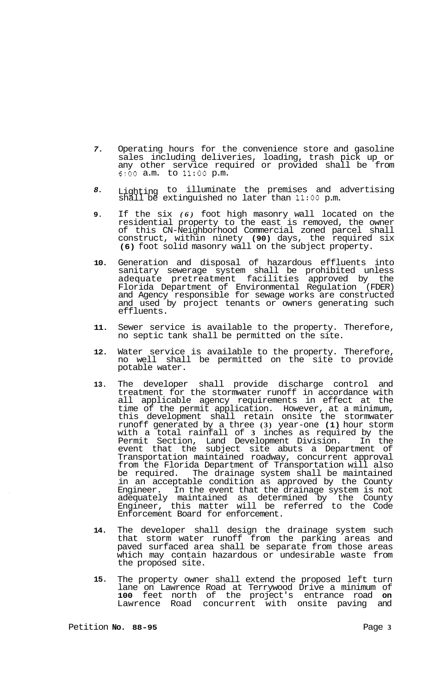- *7.*  Operating hours for the convenience store and gasoline sales including deliveries, loading, trash pick up or any other service required or provided shall be from *6:OO* a.m. to **11:OO** p.m.
- *8.*  Lighting to illuminate the premises and advertising shall be extinguished no later than **11:OO** p.m.
- **9.**  If the six *(6)* foot high masonry wall located on the residential property to the east is removed, the owner of this CN-Neighborhood Commercial zoned parcel shall construct, within ninety **(90)** days, the required six **(6)** foot solid masonry wall on the subject property.
- **10.**  Generation and disposal of hazardous effluents into sanitary sewerage system shall be prohibited unless adequate pretreatment facilities approved by the Florida Department of Environmental Regulation (FDER) and Agency responsible for sewage works are constructed and used by project tenants or owners generating such effluents.
- **11.**  Sewer service is available to the property. Therefore, no septic tank shall be permitted on the site.
- **12.**  Water service is available to the property. Therefore, no well shall be permitted on the site to provide potable water.
- **13.**  The developer shall provide discharge control and treatment for the stormwater runoff in accordance with all applicable agency requirements in effect at the time of the permit application. However, at a minimum, this development shall retain onsite the stormwater runoff generated by a three **(3)** year-one **(1)** hour storm with a total rainfall of **3** inches as required by the Permit Section, Land Development Division. In the event that the subject site abuts a Department of Transportation maintained roadway, concurrent approval from the Florida Department of Transportation will also be required. The drainage system shall be maintained in an acceptable condition as approved by the County Engineer. In the event that the drainage system is not adequately maintained as determined by the County Engineer, this matter will be referred to the Code Enforcement Board for enforcement.
- **14.**  The developer shall design the drainage system such that storm water runoff from the parking areas and paved surfaced area shall be separate from those areas which may contain hazardous or undesirable waste from the proposed site.
- **15.**  The property owner shall extend the proposed left turn lane on Lawrence Road at Terrywood Drive a minimum of **100** feet north of the project's entrance road **on**  Lawrence Road concurrent with onsite paving and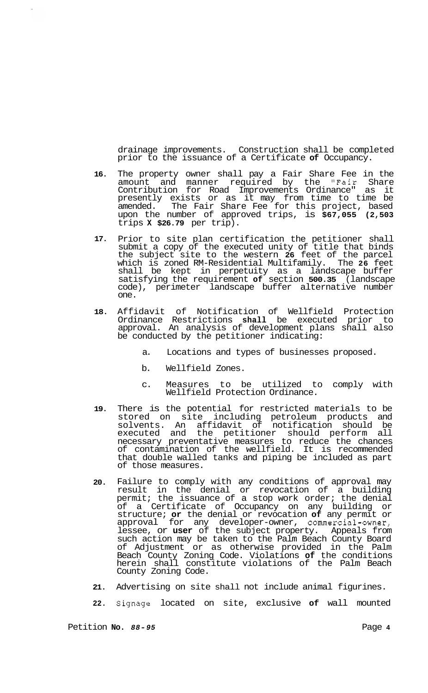drainage improvements. Construction shall be completed prior to the issuance of a Certificate **of** Occupancy.

- **16.** The property owner shall pay a Fair Share Fee in the amount and manner required by the "Fair Share Contribution for Road Improvements Ordinance" as it presently exists or as it may from time to time be amended. The Fair Share Fee for this project, based upon the number of approved trips, is **\$67,055 (2,503**  trips **X \$26.79** per trip).
- **17.** Prior to site plan certification the petitioner shall submit a copy of the executed unity of title that binds the subject site to the western **26** feet of the parcel which is zoned RM-Residential Multifamily. The **26** feet shall be kept in perpetuity as a landscape buffer satisfying the requirement **of** section **500.35** (landscape code), perimeter landscape buffer alternative number one.
- **18.** Affidavit of Notification of Wellfield Protection Ordinance Restrictions **shall** be executed prior to approval. An analysis of development plans shall also be conducted by the petitioner indicating:
	- a. Locations and types of businesses proposed.
	- b. Wellfield Zones.
	- c. Measures to be utilized to comply with Wellfield Protection Ordinance.
- **19.** There is the potential for restricted materials to be stored on site including petroleum products and solvents. An affidavit of notification should be executed and the petitioner should perform all necessary preventative measures to reduce the chances of contamination of the wellfield. It is recommended that double walled tanks and piping be included as part of those measures.
- **20.** Failure to comply with any conditions of approval may result in the denial or revocation of a building permit; the issuance of a stop work order; the denial of a Certificate of Occupancy on any building or structure; **or** the denial or revocation **of** any permit or approval for any developer-owner, commercial-owner, lessee, or **user** of the subject property. Appeals from such action may be taken to the Palm Beach County Board of Adjustment or as otherwise provided in the Palm Beach County Zoning Code. Violations **of** the conditions herein shall constitute violations of the Palm Beach County Zoning Code.
- **21.** Advertising on site shall not include animal figurines.
- **22.** Signage located on site, exclusive **of** wall mounted